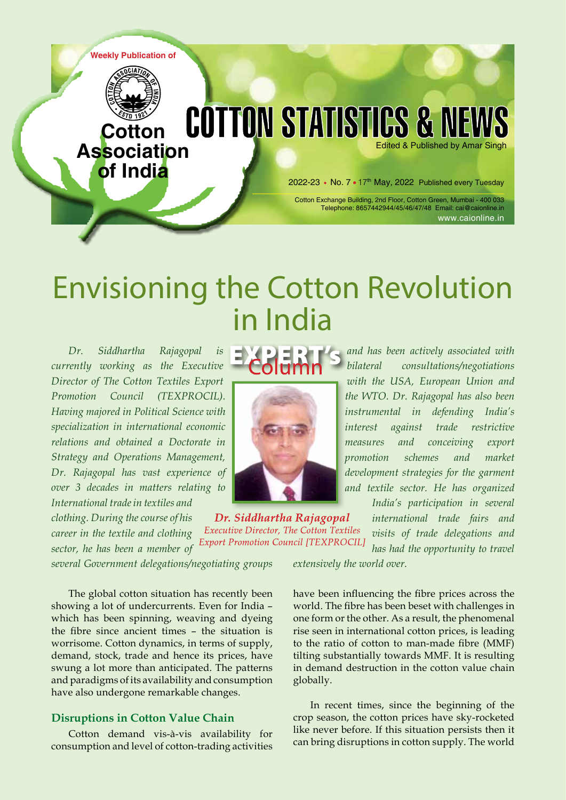

**Cotton**

**of India**

# **COTTON STATISTICS & NET Association** Edited & Published by Amar Singh

2022-23 • No. 7 • 17<sup>th</sup> May, 2022 Published every Tuesday

Cotton Exchange Building, 2nd Floor, Cotton Green, Mumbai - 400 033 Telephone: 8657442944/45/46/47/48 Email: cai@caionline.in www.caionline.in

# Envisioning the Cotton Revolution in India

*Dr. Siddhartha Rajagopal is currently working as the Executive Director of The Cotton Textiles Export Promotion Council (TEXPROCIL). Having majored in Political Science with specialization in international economic relations and obtained a Doctorate in Strategy and Operations Management, Dr. Rajagopal has vast experience of over 3 decades in matters relating to International trade in textiles and* 

*clothing. During the course of his career in the textile and clothing sector, he has been a member of* 



Dr. Siddhartha Rajagopal Executive Director, The Cotton Textiles **Export Promotion Council [TEXPROCIL]** 

*and has been actively associated with bilateral consultations/negotiations* 

*with the USA, European Union and the WTO. Dr. Rajagopal has also been instrumental in defending India's interest against trade restrictive measures and conceiving export promotion schemes and market development strategies for the garment and textile sector. He has organized* 

*India's participation in several international trade fairs and visits of trade delegations and has had the opportunity to travel* 

*several Government delegations/negotiating groups* 

have been influencing the fibre prices across the

*extensively the world over.*

The global cotton situation has recently been showing a lot of undercurrents. Even for India – which has been spinning, weaving and dyeing the fibre since ancient times – the situation is worrisome. Cotton dynamics, in terms of supply, demand, stock, trade and hence its prices, have swung a lot more than anticipated. The patterns and paradigms of its availability and consumption have also undergone remarkable changes.

# **Disruptions in Cotton Value Chain**

Cotton demand vis-à-vis availability for consumption and level of cotton-trading activities world. The fibre has been beset with challenges in one form or the other. As a result, the phenomenal rise seen in international cotton prices, is leading to the ratio of cotton to man-made fibre (MMF) tilting substantially towards MMF. It is resulting in demand destruction in the cotton value chain globally.

In recent times, since the beginning of the crop season, the cotton prices have sky-rocketed like never before. If this situation persists then it can bring disruptions in cotton supply. The world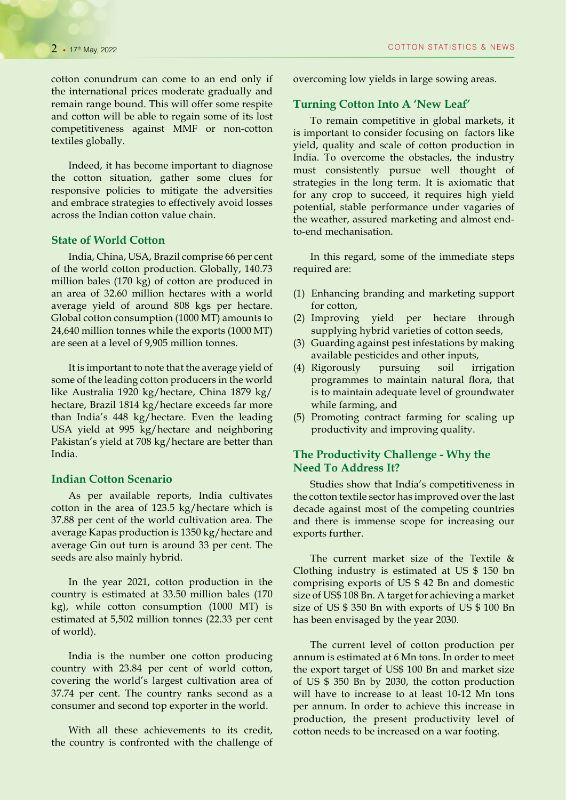cotton conundrum can come to an end only if the international prices moderate gradually and remain range bound. This will offer some respite and cotton will be able to regain some of its lost competitiveness against MMF or non-cotton textiles globally.

Indeed, it has become important to diagnose the cotton situation, gather some clues for responsive policies to mitigate the adversities and embrace strategies to effectively avoid losses across the Indian cotton value chain.

### **State of World Cotton**

India, China, USA, Brazil comprise 66 per cent of the world cotton production. Globally, 140.73 million bales (170 kg) of cotton are produced in an area of 32.60 million hectares with a world average yield of around 808 kgs per hectare. Global cotton consumption (1000 MT) amounts to 24,640 million tonnes while the exports (1000 MT) are seen at a level of 9,905 million tonnes.

It is important to note that the average yield of some of the leading cotton producers in the world like Australia 1920 kg/hectare, China 1879 kg/ hectare, Brazil 1814 kg/hectare exceeds far more than India's 448 kg/hectare. Even the leading USA yield at 995 kg/hectare and neighboring Pakistan's yield at 708 kg/hectare are better than India.

### **Indian Cotton Scenario**

As per available reports, India cultivates cotton in the area of 123.5 kg/hectare which is 37.88 per cent of the world cultivation area. The average Kapas production is 1350 kg/hectare and average Gin out turn is around 33 per cent. The seeds are also mainly hybrid.

In the year 2021, cotton production in the country is estimated at 33.50 million bales (170 kg), while cotton consumption (1000 MT) is estimated at 5,502 million tonnes (22.33 per cent of world).

India is the number one cotton producing country with 23.84 per cent of world cotton, covering the world's largest cultivation area of 37.74 per cent. The country ranks second as a consumer and second top exporter in the world.

With all these achievements to its credit, the country is confronted with the challenge of overcoming low yields in large sowing areas.

# **Turning Cotton Into A 'New Leaf'**

To remain competitive in global markets, it is important to consider focusing on factors like yield, quality and scale of cotton production in India. To overcome the obstacles, the industry must consistently pursue well thought of strategies in the long term. It is axiomatic that for any crop to succeed, it requires high yield potential, stable performance under vagaries of the weather, assured marketing and almost endto-end mechanisation.

In this regard, some of the immediate steps required are:

- (1) Enhancing branding and marketing support for cotton,
- (2) Improving yield per hectare through supplying hybrid varieties of cotton seeds,
- (3) Guarding against pest infestations by making available pesticides and other inputs,
- (4) Rigorously pursuing soil irrigation programmes to maintain natural flora, that is to maintain adequate level of groundwater while farming, and
- (5) Promoting contract farming for scaling up productivity and improving quality.

# **The Productivity Challenge - Why the Need To Address It?**

Studies show that India's competitiveness in the cotton textile sector has improved over the last decade against most of the competing countries and there is immense scope for increasing our exports further.

The current market size of the Textile & Clothing industry is estimated at US \$ 150 bn comprising exports of US \$ 42 Bn and domestic size of US\$ 108 Bn. A target for achieving a market size of US \$ 350 Bn with exports of US \$ 100 Bn has been envisaged by the year 2030.

The current level of cotton production per annum is estimated at 6 Mn tons. In order to meet the export target of US\$ 100 Bn and market size of US \$ 350 Bn by 2030, the cotton production will have to increase to at least 10-12 Mn tons per annum. In order to achieve this increase in production, the present productivity level of cotton needs to be increased on a war footing.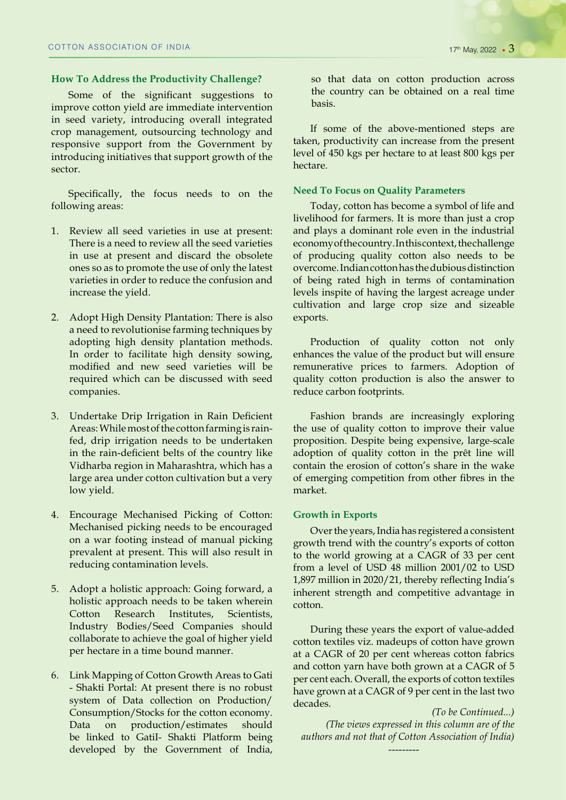#### **How To Address the Productivity Challenge?**

Some of the significant suggestions to improve cotton yield are immediate intervention in seed variety, introducing overall integrated crop management, outsourcing technology and responsive support from the Government by introducing initiatives that support growth of the sector.

Specifically, the focus needs to on the following areas:

- 1. Review all seed varieties in use at present: There is a need to review all the seed varieties in use at present and discard the obsolete ones so as to promote the use of only the latest varieties in order to reduce the confusion and increase the yield.
- 2. Adopt High Density Plantation: There is also a need to revolutionise farming techniques by adopting high density plantation methods. In order to facilitate high density sowing, modified and new seed varieties will be required which can be discussed with seed companies.
- 3. Undertake Drip Irrigation in Rain Deficient Areas: While most of the cotton farming is rainfed, drip irrigation needs to be undertaken in the rain-deficient belts of the country like Vidharba region in Maharashtra, which has a large area under cotton cultivation but a very low yield.
- 4. Encourage Mechanised Picking of Cotton: Mechanised picking needs to be encouraged on a war footing instead of manual picking prevalent at present. This will also result in reducing contamination levels.
- 5. Adopt a holistic approach: Going forward, a holistic approach needs to be taken wherein Cotton Research Institutes, Scientists, Industry Bodies/Seed Companies should collaborate to achieve the goal of higher yield per hectare in a time bound manner.
- 6. Link Mapping of Cotton Growth Areas to Gati - Shakti Portal: At present there is no robust system of Data collection on Production/ Consumption/Stocks for the cotton economy. Data on production/estimates should be linked to GatiI- Shakti Platform being developed by the Government of India,

so that data on cotton production across the country can be obtained on a real time basis.

If some of the above-mentioned steps are taken, productivity can increase from the present level of 450 kgs per hectare to at least 800 kgs per hectare.

#### **Need To Focus on Quality Parameters**

Today, cotton has become a symbol of life and livelihood for farmers. It is more than just a crop and plays a dominant role even in the industrial economy of the country. In this context, the challenge of producing quality cotton also needs to be overcome. Indian cotton has the dubious distinction of being rated high in terms of contamination levels inspite of having the largest acreage under cultivation and large crop size and sizeable exports.

Production of quality cotton not only enhances the value of the product but will ensure remunerative prices to farmers. Adoption of quality cotton production is also the answer to reduce carbon footprints.

Fashion brands are increasingly exploring the use of quality cotton to improve their value proposition. Despite being expensive, large-scale adoption of quality cotton in the prêt line will contain the erosion of cotton's share in the wake of emerging competition from other fibres in the market.

#### **Growth in Exports**

Over the years, India has registered a consistent growth trend with the country's exports of cotton to the world growing at a CAGR of 33 per cent from a level of USD 48 million 2001/02 to USD 1,897 million in 2020/21, thereby reflecting India's inherent strength and competitive advantage in cotton.

During these years the export of value-added cotton textiles viz. madeups of cotton have grown at a CAGR of 20 per cent whereas cotton fabrics and cotton yarn have both grown at a CAGR of 5 per cent each. Overall, the exports of cotton textiles have grown at a CAGR of 9 per cent in the last two decades.

*(To be Continued...) (The views expressed in this column are of the authors and not that of Cotton Association of India)* ---------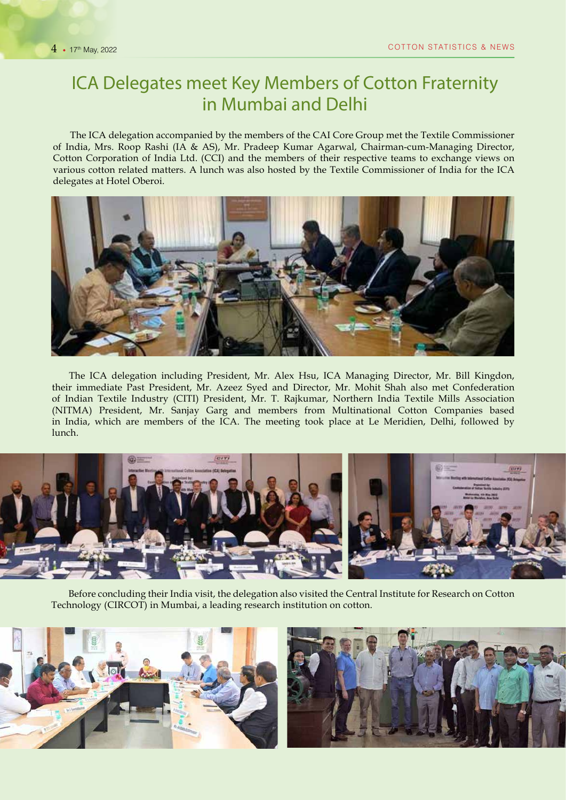# ICA Delegates meet Key Members of Cotton Fraternity in Mumbai and Delhi

The ICA delegation accompanied by the members of the CAI Core Group met the Textile Commissioner of India, Mrs. Roop Rashi (IA & AS), Mr. Pradeep Kumar Agarwal, Chairman-cum-Managing Director, Cotton Corporation of India Ltd. (CCI) and the members of their respective teams to exchange views on various cotton related matters. A lunch was also hosted by the Textile Commissioner of India for the ICA delegates at Hotel Oberoi.



The ICA delegation including President, Mr. Alex Hsu, ICA Managing Director, Mr. Bill Kingdon, their immediate Past President, Mr. Azeez Syed and Director, Mr. Mohit Shah also met Confederation of Indian Textile Industry (CITI) President, Mr. T. Rajkumar, Northern India Textile Mills Association (NITMA) President, Mr. Sanjay Garg and members from Multinational Cotton Companies based in India, which are members of the ICA. The meeting took place at Le Meridien, Delhi, followed by lunch.



Before concluding their India visit, the delegation also visited the Central Institute for Research on Cotton Technology (CIRCOT) in Mumbai, a leading research institution on cotton.



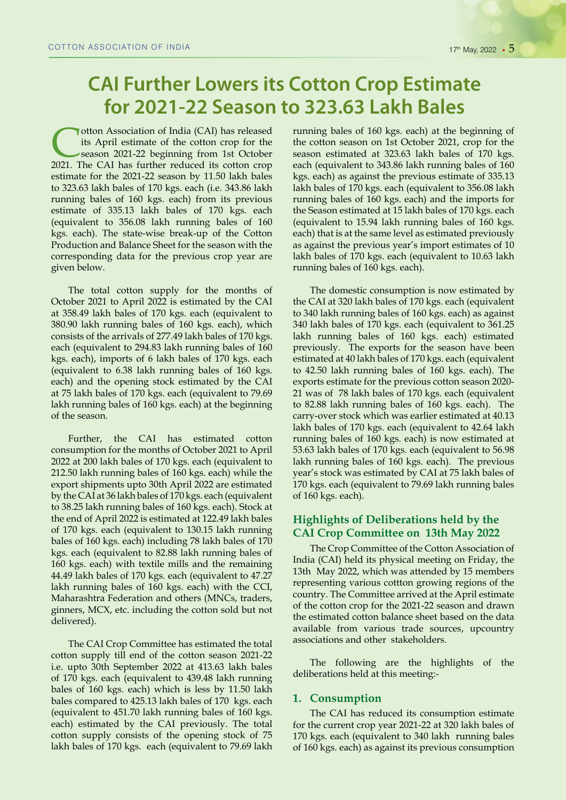# **CAI Further Lowers its Cotton Crop Estimate for 2021-22 Season to 323.63 Lakh Bales**

**Totton Association of India (CAI) has released** its April estimate of the cotton crop for the season 2021-22 beginning from 1st October 2021. The CAI has further reduced its cotton crop estimate for the 2021-22 season by 11.50 lakh bales to 323.63 lakh bales of 170 kgs. each (i.e. 343.86 lakh running bales of 160 kgs. each) from its previous estimate of 335.13 lakh bales of 170 kgs. each (equivalent to 356.08 lakh running bales of 160 kgs. each). The state-wise break-up of the Cotton Production and Balance Sheet for the season with the corresponding data for the previous crop year are given below.

The total cotton supply for the months of October 2021 to April 2022 is estimated by the CAI at 358.49 lakh bales of 170 kgs. each (equivalent to 380.90 lakh running bales of 160 kgs. each), which consists of the arrivals of 277.49 lakh bales of 170 kgs. each (equivalent to 294.83 lakh running bales of 160 kgs. each), imports of 6 lakh bales of 170 kgs. each (equivalent to 6.38 lakh running bales of 160 kgs. each) and the opening stock estimated by the CAI at 75 lakh bales of 170 kgs. each (equivalent to 79.69 lakh running bales of 160 kgs. each) at the beginning of the season.

Further, the CAI has estimated cotton consumption for the months of October 2021 to April 2022 at 200 lakh bales of 170 kgs. each (equivalent to 212.50 lakh running bales of 160 kgs. each) while the export shipments upto 30th April 2022 are estimated by the CAI at 36 lakh bales of 170 kgs. each (equivalent to 38.25 lakh running bales of 160 kgs. each). Stock at the end of April 2022 is estimated at 122.49 lakh bales of 170 kgs. each (equivalent to 130.15 lakh running bales of 160 kgs. each) including 78 lakh bales of 170 kgs. each (equivalent to 82.88 lakh running bales of 160 kgs. each) with textile mills and the remaining 44.49 lakh bales of 170 kgs. each (equivalent to 47.27 lakh running bales of 160 kgs. each) with the CCI, Maharashtra Federation and others (MNCs, traders, ginners, MCX, etc. including the cotton sold but not delivered).

The CAI Crop Committee has estimated the total cotton supply till end of the cotton season 2021-22 i.e. upto 30th September 2022 at 413.63 lakh bales of 170 kgs. each (equivalent to 439.48 lakh running bales of 160 kgs. each) which is less by 11.50 lakh bales compared to 425.13 lakh bales of 170 kgs. each (equivalent to 451.70 lakh running bales of 160 kgs. each) estimated by the CAI previously. The total cotton supply consists of the opening stock of 75 lakh bales of 170 kgs. each (equivalent to 79.69 lakh running bales of 160 kgs. each) at the beginning of the cotton season on 1st October 2021, crop for the season estimated at 323.63 lakh bales of 170 kgs. each (equivalent to 343.86 lakh running bales of 160 kgs. each) as against the previous estimate of 335.13 lakh bales of 170 kgs. each (equivalent to 356.08 lakh running bales of 160 kgs. each) and the imports for the Season estimated at 15 lakh bales of 170 kgs. each (equivalent to 15.94 lakh running bales of 160 kgs. each) that is at the same level as estimated previously as against the previous year's import estimates of 10 lakh bales of 170 kgs. each (equivalent to 10.63 lakh running bales of 160 kgs. each).

The domestic consumption is now estimated by the CAI at 320 lakh bales of 170 kgs. each (equivalent to 340 lakh running bales of 160 kgs. each) as against 340 lakh bales of 170 kgs. each (equivalent to 361.25 lakh running bales of 160 kgs. each) estimated previously. The exports for the season have been estimated at 40 lakh bales of 170 kgs. each (equivalent to 42.50 lakh running bales of 160 kgs. each). The exports estimate for the previous cotton season 2020- 21 was of 78 lakh bales of 170 kgs. each (equivalent to 82.88 lakh running bales of 160 kgs. each). The carry-over stock which was earlier estimated at 40.13 lakh bales of 170 kgs. each (equivalent to 42.64 lakh running bales of 160 kgs. each) is now estimated at 53.63 lakh bales of 170 kgs. each (equivalent to 56.98 lakh running bales of 160 kgs. each). The previous year's stock was estimated by CAI at 75 lakh bales of 170 kgs. each (equivalent to 79.69 lakh running bales of 160 kgs. each).

# **Highlights of Deliberations held by the CAI Crop Committee on 13th May 2022**

The Crop Committee of the Cotton Association of India (CAI) held its physical meeting on Friday, the 13th May 2022, which was attended by 15 members representing various cottton growing regions of the country. The Committee arrived at the April estimate of the cotton crop for the 2021-22 season and drawn the estimated cotton balance sheet based on the data available from various trade sources, upcountry associations and other stakeholders.

The following are the highlights of the deliberations held at this meeting:-

#### **1. Consumption**

The CAI has reduced its consumption estimate for the current crop year 2021-22 at 320 lakh bales of 170 kgs. each (equivalent to 340 lakh running bales of 160 kgs. each) as against its previous consumption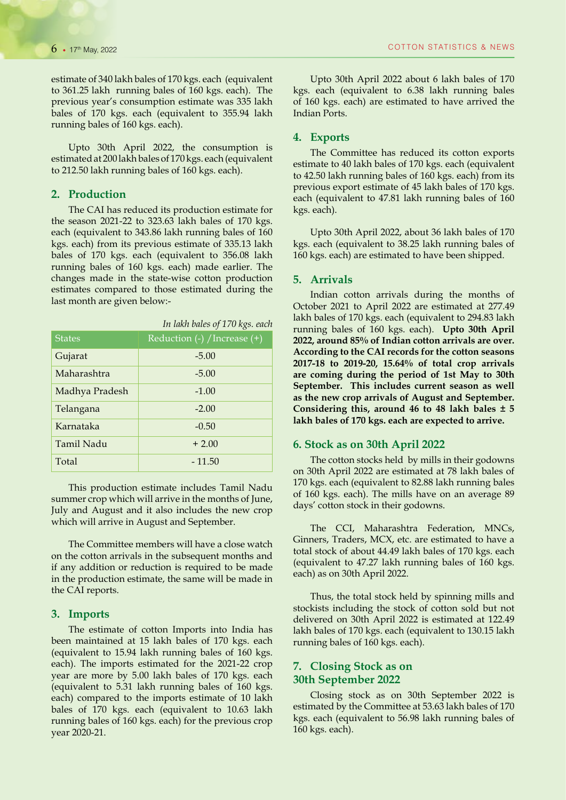estimate of 340 lakh bales of 170 kgs. each (equivalent to 361.25 lakh running bales of 160 kgs. each). The previous year's consumption estimate was 335 lakh bales of 170 kgs. each (equivalent to 355.94 lakh running bales of 160 kgs. each).

Upto 30th April 2022, the consumption is estimated at 200 lakh bales of 170 kgs. each (equivalent to 212.50 lakh running bales of 160 kgs. each).

#### **2. Production**

The CAI has reduced its production estimate for the season 2021-22 to 323.63 lakh bales of 170 kgs. each (equivalent to 343.86 lakh running bales of 160 kgs. each) from its previous estimate of 335.13 lakh bales of 170 kgs. each (equivalent to 356.08 lakh running bales of 160 kgs. each) made earlier. The changes made in the state-wise cotton production estimates compared to those estimated during the last month are given below:-

|                | In lakh bales of 170 kgs. each |
|----------------|--------------------------------|
| <b>States</b>  | Reduction (-) / Increase (+)   |
| Gujarat        | $-5.00$                        |
| Maharashtra    | $-5.00$                        |
| Madhya Pradesh | $-1.00$                        |
| Telangana      | $-2.00$                        |
| Karnataka      | $-0.50$                        |
| Tamil Nadu     | $+2.00$                        |
| Total          | $-11.50$                       |

This production estimate includes Tamil Nadu summer crop which will arrive in the months of June, July and August and it also includes the new crop which will arrive in August and September.

The Committee members will have a close watch on the cotton arrivals in the subsequent months and if any addition or reduction is required to be made in the production estimate, the same will be made in the CAI reports.

#### **3. Imports**

The estimate of cotton Imports into India has been maintained at 15 lakh bales of 170 kgs. each (equivalent to 15.94 lakh running bales of 160 kgs. each). The imports estimated for the 2021-22 crop year are more by 5.00 lakh bales of 170 kgs. each (equivalent to 5.31 lakh running bales of 160 kgs. each) compared to the imports estimate of 10 lakh bales of 170 kgs. each (equivalent to 10.63 lakh running bales of 160 kgs. each) for the previous crop year 2020-21.

Upto 30th April 2022 about 6 lakh bales of 170 kgs. each (equivalent to 6.38 lakh running bales of 160 kgs. each) are estimated to have arrived the Indian Ports.

## **4. Exports**

The Committee has reduced its cotton exports estimate to 40 lakh bales of 170 kgs. each (equivalent to 42.50 lakh running bales of 160 kgs. each) from its previous export estimate of 45 lakh bales of 170 kgs. each (equivalent to 47.81 lakh running bales of 160 kgs. each).

Upto 30th April 2022, about 36 lakh bales of 170 kgs. each (equivalent to 38.25 lakh running bales of 160 kgs. each) are estimated to have been shipped.

#### **5. Arrivals**

Indian cotton arrivals during the months of October 2021 to April 2022 are estimated at 277.49 lakh bales of 170 kgs. each (equivalent to 294.83 lakh running bales of 160 kgs. each). **Upto 30th April 2022, around 85% of Indian cotton arrivals are over. According to the CAI records for the cotton seasons 2017-18 to 2019-20, 15.64% of total crop arrivals are coming during the period of 1st May to 30th September. This includes current season as well as the new crop arrivals of August and September. Considering this, around 46 to 48 lakh bales ± 5 lakh bales of 170 kgs. each are expected to arrive.**

#### **6. Stock as on 30th April 2022**

The cotton stocks held by mills in their godowns on 30th April 2022 are estimated at 78 lakh bales of 170 kgs. each (equivalent to 82.88 lakh running bales of 160 kgs. each). The mills have on an average 89 days' cotton stock in their godowns.

The CCI, Maharashtra Federation, MNCs, Ginners, Traders, MCX, etc. are estimated to have a total stock of about 44.49 lakh bales of 170 kgs. each (equivalent to 47.27 lakh running bales of 160 kgs. each) as on 30th April 2022.

Thus, the total stock held by spinning mills and stockists including the stock of cotton sold but not delivered on 30th April 2022 is estimated at 122.49 lakh bales of 170 kgs. each (equivalent to 130.15 lakh running bales of 160 kgs. each).

# **7. Closing Stock as on 30th September 2022**

Closing stock as on 30th September 2022 is estimated by the Committee at 53.63 lakh bales of 170 kgs. each (equivalent to 56.98 lakh running bales of 160 kgs. each).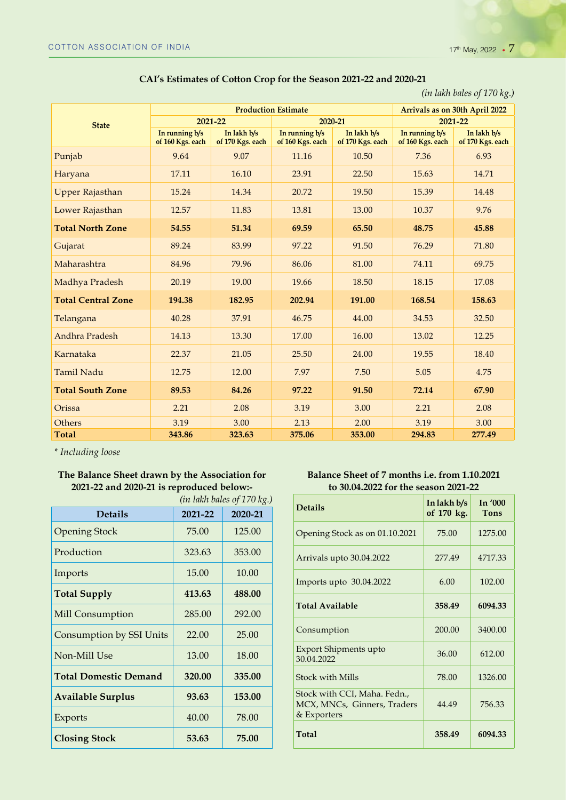# **CAI's Estimates of Cotton Crop for the Season 2021-22 and 2020-21**

# *(in lakh bales of 170 kg.)*

|                           |                                                                       | <b>Production Estimate</b> | <b>Arrivals as on 30th April 2022</b> |                                 |                                    |                                 |  |
|---------------------------|-----------------------------------------------------------------------|----------------------------|---------------------------------------|---------------------------------|------------------------------------|---------------------------------|--|
| <b>State</b>              | 2021-22                                                               |                            |                                       | 2020-21                         | 2021-22                            |                                 |  |
|                           | In lakh b/s<br>In running b/s<br>of 160 Kgs. each<br>of 170 Kgs. each |                            | In running b/s<br>of 160 Kgs. each    | In lakh b/s<br>of 170 Kgs. each | In running b/s<br>of 160 Kgs. each | In lakh b/s<br>of 170 Kgs. each |  |
| Punjab                    | 9.64                                                                  | 9.07                       | 11.16                                 | 10.50                           | 7.36                               | 6.93                            |  |
| Haryana                   | 17.11                                                                 | 16.10                      | 23.91                                 | 22.50                           | 15.63                              | 14.71                           |  |
| <b>Upper Rajasthan</b>    | 15.24                                                                 | 14.34                      | 20.72                                 | 19.50                           | 15.39                              | 14.48                           |  |
| Lower Rajasthan           | 12.57                                                                 | 11.83                      | 13.81                                 | 13.00                           | 10.37                              | 9.76                            |  |
| <b>Total North Zone</b>   | 51.34<br>69.59<br>54.55                                               |                            | 65.50                                 | 48.75                           | 45.88                              |                                 |  |
| Gujarat                   | 89.24                                                                 | 83.99                      | 97.22                                 | 91.50                           | 76.29                              | 71.80                           |  |
| Maharashtra               | 84.96                                                                 | 79.96                      | 86.06                                 | 81.00                           | 74.11                              | 69.75                           |  |
| Madhya Pradesh            | 20.19                                                                 | 19.00                      | 19.66                                 | 18.50                           | 18.15                              | 17.08                           |  |
| <b>Total Central Zone</b> | 194.38                                                                | 182.95                     | 202.94                                | 191.00                          | 168.54                             | 158.63                          |  |
| Telangana                 | 40.28                                                                 | 37.91                      | 46.75                                 | 44.00                           | 34.53                              | 32.50                           |  |
| Andhra Pradesh            | 14.13                                                                 | 13.30                      | 17.00                                 | 16.00                           | 13.02                              | 12.25                           |  |
| Karnataka                 | 22.37                                                                 | 21.05                      | 25.50                                 | 24.00                           | 19.55                              | 18.40                           |  |
| <b>Tamil Nadu</b>         | 12.75                                                                 | 12.00                      | 7.97                                  | 7.50                            | 5.05                               | 4.75                            |  |
| <b>Total South Zone</b>   | 89.53                                                                 | 84.26                      | 97.22                                 | 91.50                           | 72.14                              | 67.90                           |  |
| Orissa                    | 2.21                                                                  | 2.08                       | 3.19                                  | 3.00                            | 2.21                               | 2.08                            |  |
| Others                    | 3.19                                                                  | 3.00                       | 2.13                                  | 2.00                            | 3.19                               | 3.00                            |  |
| <b>Total</b>              | 343.86                                                                | 323.63                     | 375.06                                | 353.00                          | 294.83                             | 277.49                          |  |

*\* Including loose*

# **The Balance Sheet drawn by the Association for 2021-22 and 2020-21 is reproduced below:-**

| $(in$ lakh bales of 170 kg.) |         |         |  |  |  |  |  |  |
|------------------------------|---------|---------|--|--|--|--|--|--|
| <b>Details</b>               | 2021-22 | 2020-21 |  |  |  |  |  |  |
| <b>Opening Stock</b>         | 75.00   | 125.00  |  |  |  |  |  |  |
| Production                   | 323.63  | 353.00  |  |  |  |  |  |  |
| Imports                      | 15.00   | 10.00   |  |  |  |  |  |  |
| <b>Total Supply</b>          | 413.63  | 488.00  |  |  |  |  |  |  |
| <b>Mill Consumption</b>      | 285.00  | 292.00  |  |  |  |  |  |  |
| Consumption by SSI Units     | 22.00   | 25.00   |  |  |  |  |  |  |
| Non-Mill Use                 | 13.00   | 18.00   |  |  |  |  |  |  |
| <b>Total Domestic Demand</b> | 320.00  | 335.00  |  |  |  |  |  |  |
| <b>Available Surplus</b>     | 93.63   | 153.00  |  |  |  |  |  |  |
| Exports                      | 40.00   | 78.00   |  |  |  |  |  |  |
| <b>Closing Stock</b>         | 53.63   | 75.00   |  |  |  |  |  |  |

# **Balance Sheet of 7 months i.e. from 1.10.2021 to 30.04.2022 for the season 2021-22**

| <b>Details</b>                                                             | In lakh b/s<br>of 170 kg. | In $'000$<br><b>Tons</b> |
|----------------------------------------------------------------------------|---------------------------|--------------------------|
| Opening Stock as on 01.10.2021                                             | 75.00                     | 1275.00                  |
| Arrivals upto 30.04.2022                                                   | 277.49                    | 4717.33                  |
| Imports upto 30.04.2022                                                    | 6.00                      | 102.00                   |
| <b>Total Available</b>                                                     | 358.49                    | 6094.33                  |
| Consumption                                                                | 200.00                    | 3400.00                  |
| <b>Export Shipments upto</b><br>30.04.2022                                 | 36.00                     | 612.00                   |
| <b>Stock with Mills</b>                                                    | 78.00                     | 1326.00                  |
| Stock with CCI, Maha. Fedn.,<br>MCX, MNCs, Ginners, Traders<br>& Exporters | 44.49                     | 756.33                   |
| Total                                                                      | 358.49                    | 6094.33                  |